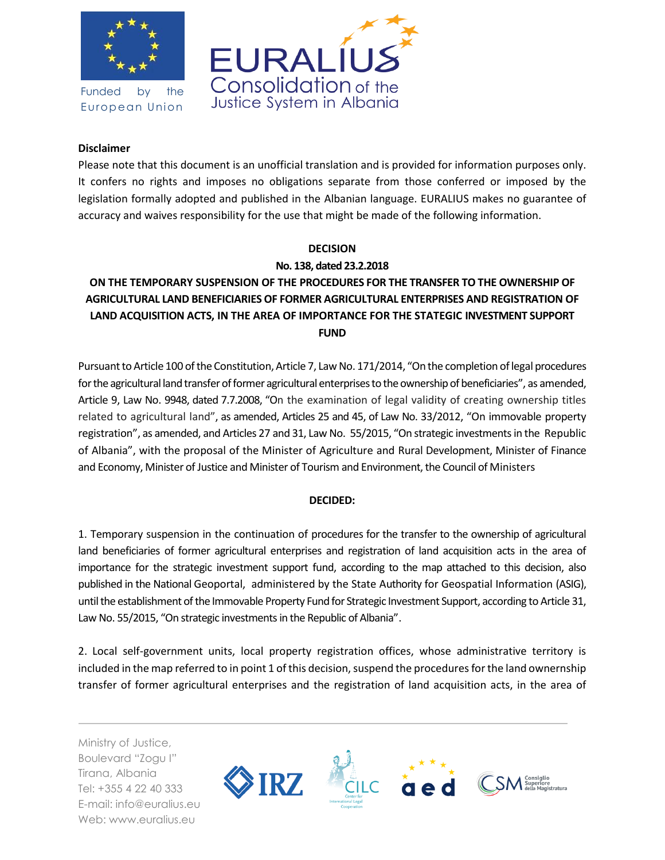

Funded by the European Union



### **Disclaimer**

Please note that this document is an unofficial translation and is provided for information purposes only. It confers no rights and imposes no obligations separate from those conferred or imposed by the legislation formally adopted and published in the Albanian language. EURALIUS makes no guarantee of accuracy and waives responsibility for the use that might be made of the following information.

#### **DECISION**

### **No. 138, dated 23.2.2018**

# **ON THE TEMPORARY SUSPENSION OF THE PROCEDURES FOR THE TRANSFER TO THE OWNERSHIP OF AGRICULTURAL LAND BENEFICIARIES OF FORMER AGRICULTURAL ENTERPRISES AND REGISTRATION OF LAND ACQUISITION ACTS, IN THE AREA OF IMPORTANCE FOR THE STATEGIC INVESTMENT SUPPORT FUND**

Pursuant to Article 100 of the Constitution, Article 7, Law No. 171/2014, "On the completion of legal procedures for the agricultural land transfer of former agricultural enterprises to the ownership of beneficiaries", as amended, Article 9, Law No. 9948, dated 7.7.2008, "On the examination of legal validity of creating ownership titles related to agricultural land", as amended, Articles 25 and 45, of Law No. 33/2012, "On immovable property registration", as amended, and Articles 27 and 31, Law No. 55/2015, "On strategic investments in the Republic of Albania", with the proposal of the Minister of Agriculture and Rural Development, Minister of Finance and Economy, Minister of Justice and Minister of Tourism and Environment, the Council of Ministers

## **DECIDED:**

1. Temporary suspension in the continuation of procedures for the transfer to the ownership of agricultural land beneficiaries of former agricultural enterprises and registration of land acquisition acts in the area of importance for the strategic investment support fund, according to the map attached to this decision, also published in the National Geoportal, administered by the State Authority for Geospatial Information (ASIG), until the establishment of the Immovable Property Fund for Strategic Investment Support, according to Article 31, Law No. 55/2015, "On strategic investments in the Republic of Albania".

2. Local self-government units, local property registration offices, whose administrative territory is included in the map referred to in point 1 of this decision, suspend the procedures for the land ownernship transfer of former agricultural enterprises and the registration of land acquisition acts, in the area of

Ministry of Justice, Boulevard "Zogu I" Tirana, Albania Tel: +355 4 22 40 333 E-mail: info@euralius.eu Web: www.euralius.eu

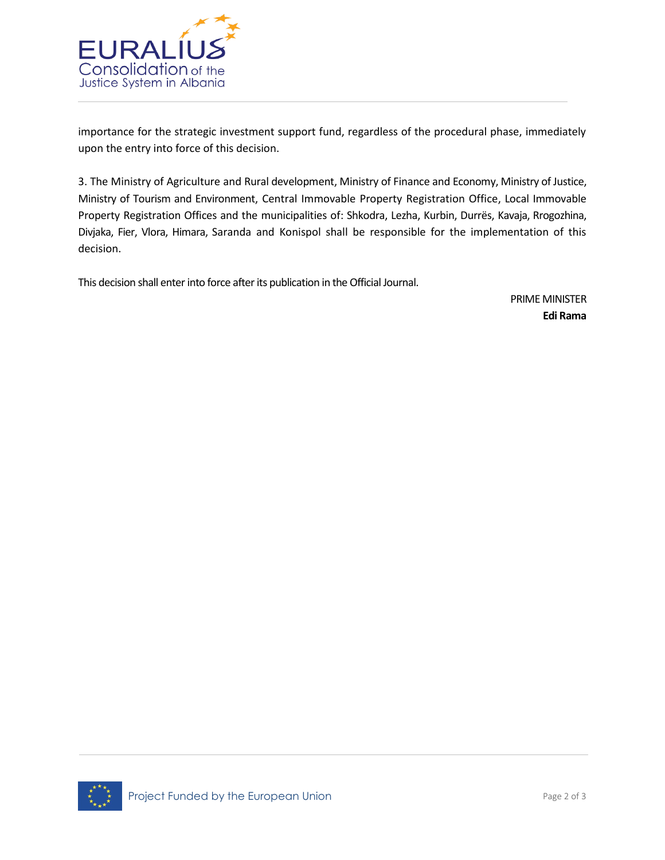

importance for the strategic investment support fund, regardless of the procedural phase, immediately upon the entry into force of this decision.

3. The Ministry of Agriculture and Rural development, Ministry of Finance and Economy, Ministry of Justice, Ministry of Tourism and Environment, Central Immovable Property Registration Office, Local Immovable Property Registration Offices and the municipalities of: Shkodra, Lezha, Kurbin, Durrës, Kavaja, Rrogozhina, Divjaka, Fier, Vlora, Himara, Saranda and Konispol shall be responsible for the implementation of this decision.

This decision shall enter into force after its publication in the Official Journal.

PRIME MINISTER **Edi Rama**